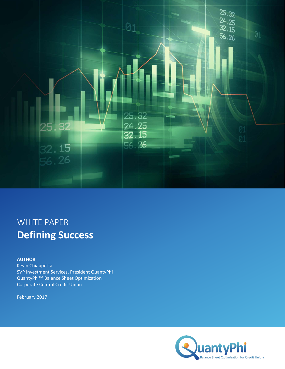

## WHITE PAPER **Defining Success**

## **AUTHOR**

Kevin Chiappetta SVP Investment Services, President QuantyPhi QuantyPhiTM Balance Sheet Optimization Corporate Central Credit Union

February 2017

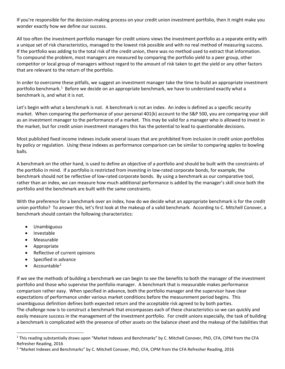If you're responsible for the decision-making process on your credit union investment portfolio, then it might make you wonder exactly how we define our success.

All too often the investment portfolio manager for credit unions views the investment portfolio as a separate entity with a unique set of risk characteristics, managed to the lowest risk possible and with no real method of measuring success. If the portfolio was adding to the total risk of the credit union, there was no method used to extract that information. To compound the problem, most managers are measured by comparing the portfolio yield to a peer group, other competitor or local group of managers without regard to the amount of risk taken to get the yield or any other factors that are relevant to the return of the portfolio.

In order to overcome these pitfalls, we suggest an investment manager take the time to build an appropriate investment portfolio benchmark.<sup>[1](#page-1-0)</sup> Before we decide on an appropriate benchmark, we have to understand exactly what a benchmark is, and what it is not.

Let's begin with what a benchmark is not. A benchmark is not an index. An index is defined as a specific security market. When comparing the performance of your personal 401(k) account to the S&P 500, you are comparing your skill as an investment manager to the performance of a market. This may be valid for a manager who is allowed to invest in the market, but for credit union investment managers this has the potential to lead to questionable decisions.

Most published fixed income indexes include several issues that are prohibited from inclusion in credit union portfolios by policy or regulation. Using these indexes as performance comparison can be similar to comparing apples to bowling balls.

A benchmark on the other hand, is used to define an objective of a portfolio and should be built with the constraints of the portfolio in mind. If a portfolio is restricted from investing in low-rated corporate bonds, for example, the benchmark should not be reflective of low-rated corporate bonds. By using a benchmark as our comparative tool, rather than an index, we can measure how much additional performance is added by the manager's skill since both the portfolio and the benchmark are built with the same constraints.

With the preference for a benchmark over an index, how do we decide what an appropriate benchmark is for the credit union portfolio? To answer this, let's first look at the makeup of a valid benchmark. According to C. Mitchell Conover, a benchmark should contain the following characteristics:

- Unambiguous
- Investable
- Measurable
- Appropriate
- Reflective of current opinions
- Specified in advance
- Accountable $2$

If we see the methods of building a benchmark we can begin to see the benefits to both the manager of the investment portfolio and those who supervise the portfolio manager. A benchmark that is measurable makes performance comparison rather easy. When specified in advance, both the portfolio manager and the supervisor have clear expectations of performance under various market conditions before the measurement period begins. This unambiguous definition defines both expected return and the acceptable risk agreed to by both parties. The challenge now is to construct a benchmark that encompasses each of these characteristics so we can quickly and easily measure success in the management of the investment portfolio. For credit unions especially, the task of building a benchmark is complicated with the presence of other assets on the balance sheet and the makeup of the liabilities that

<span id="page-1-0"></span> <sup>1</sup> This reading substantially draws upon "Market Indexes and Benchmarks" by C. Mitchell Conover, PhD, CFA, CIPM from the CFA Refresher Reading, 2016

<span id="page-1-1"></span><sup>&</sup>lt;sup>2</sup> "Market Indexes and Benchmarks" by C. Mitchell Conover, PhD, CFA, CIPM from the CFA Refresher Reading, 2016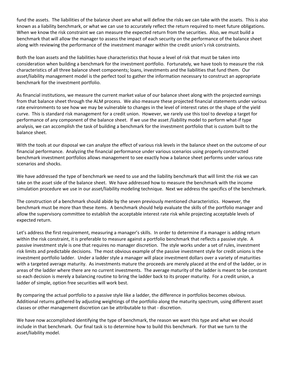fund the assets. The liabilities of the balance sheet are what will define the risks we can take with the assets. This is also known as a liability benchmark, or what we can use to accurately reflect the return required to meet future obligations. When we know the risk constraint we can measure the expected return from the securities. Also, we must build a benchmark that will allow the manager to assess the impact of each security on the performance of the balance sheet along with reviewing the performance of the investment manager within the credit union's risk constraints.

Both the loan assets and the liabilities have characteristics that house a level of risk that must be taken into consideration when building a benchmark for the investment portfolio. Fortunately, we have tools to measure the risk characteristics of all three balance sheet components; loans, investments and the liabilities that fund them. Our asset/liability management model is the perfect tool to gather the information necessary to construct an appropriate benchmark for the investment portfolio.

As financial institutions, we measure the current market value of our balance sheet along with the projected earnings from that balance sheet through the ALM process. We also measure these projected financial statements under various rate environments to see how we may be vulnerable to changes in the level of interest rates or the shape of the yield curve. This is standard risk management for a credit union. However, we rarely use this tool to develop a target for performance of any component of the balance sheet. If we use the asset /liability model to perform what-if type analysis, we can accomplish the task of building a benchmark for the investment portfolio that is custom built to the balance sheet.

With the tools at our disposal we can analyze the effect of various risk levels in the balance sheet on the outcome of our financial performance. Analyzing the financial performance under various scenarios using properly constructed benchmark investment portfolios allows management to see exactly how a balance sheet performs under various rate scenarios and shocks.

We have addressed the type of benchmark we need to use and the liability benchmark that will limit the risk we can take on the asset side of the balance sheet. We have addressed how to measure the benchmark with the income simulation procedure we use in our asset/liability modeling technique. Next we address the specifics of the benchmark.

The construction of a benchmark should abide by the seven previously mentioned characteristics. However, the benchmark must be more than these items. A benchmark should help evaluate the skills of the portfolio manager and allow the supervisory committee to establish the acceptable interest rate risk while projecting acceptable levels of expected return.

Let's address the first requirement, measuring a manager's skills. In order to determine if a manager is adding return within the risk constraint, it is preferable to measure against a portfolio benchmark that reflects a passive style. A passive investment style is one that requires no manager discretion. The style works under a set of rules, investment risk limits and predictable decisions. The most obvious example of the passive investment style for credit unions is the investment portfolio ladder. Under a ladder style a manager will place investment dollars over a variety of maturities with a targeted average maturity. As investments mature the proceeds are merely placed at the end of the ladder, or in areas of the ladder where there are no current investments. The average maturity of the ladder is meant to be constant so each decision is merely a balancing routine to bring the ladder back to its proper maturity. For a credit union, a ladder of simple, option free securities will work best.

By comparing the actual portfolio to a passive style like a ladder, the difference in portfolios becomes obvious. Additional returns gathered by adjusting weightings of the portfolio along the maturity spectrum, using different asset classes or other management discretion can be attributable to that - discretion.

We have now accomplished identifying the type of benchmark, the reason we want this type and what we should include in that benchmark. Our final task is to determine how to build this benchmark. For that we turn to the asset/liability model.